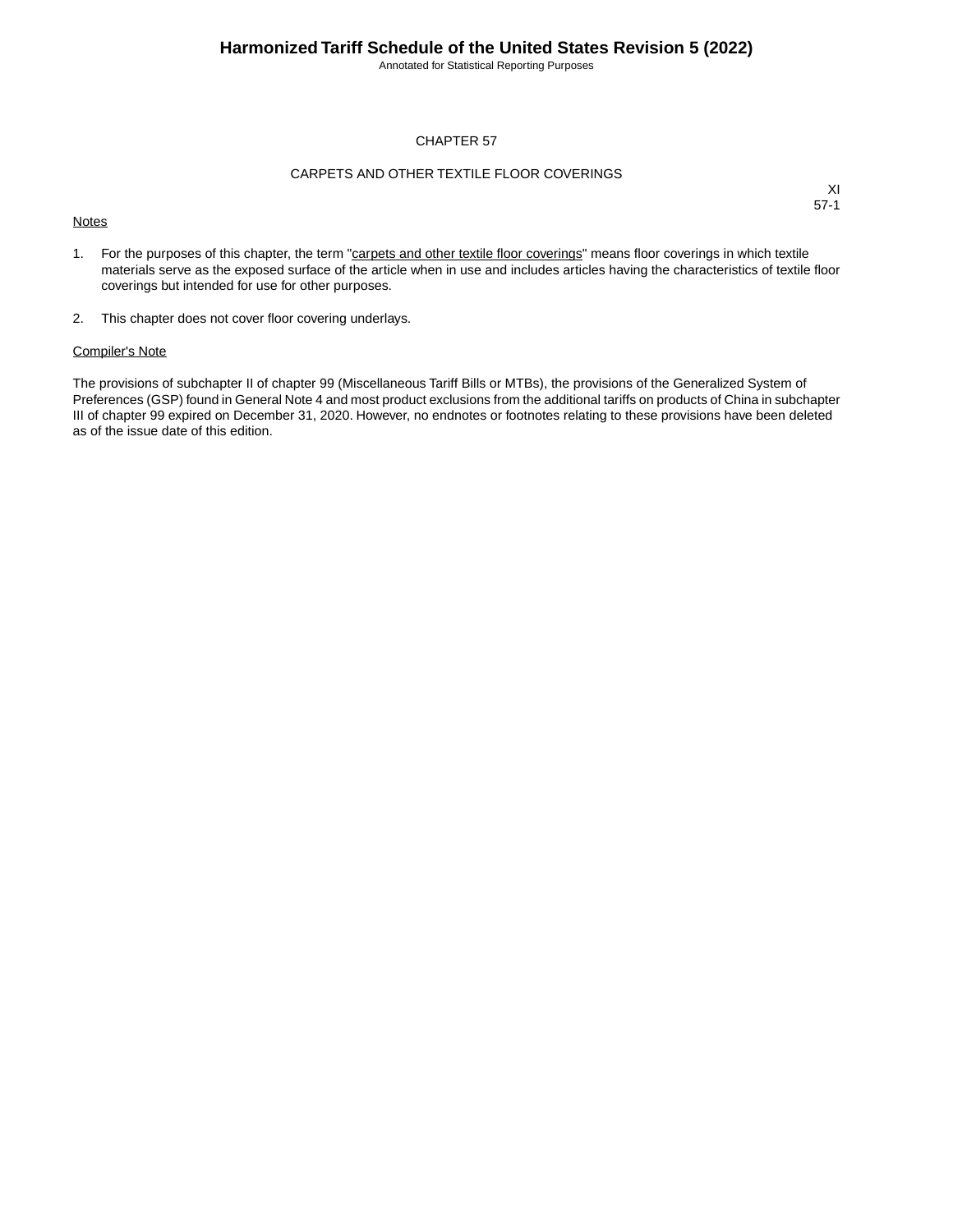Annotated for Statistical Reporting Purposes

#### CHAPTER 57

#### CARPETS AND OTHER TEXTILE FLOOR COVERINGS

#### **Notes**

XI 57-1

- 1. For the purposes of this chapter, the term "carpets and other textile floor coverings" means floor coverings in which textile materials serve as the exposed surface of the article when in use and includes articles having the characteristics of textile floor coverings but intended for use for other purposes.
- 2. This chapter does not cover floor covering underlays.

#### Compiler's Note

The provisions of subchapter II of chapter 99 (Miscellaneous Tariff Bills or MTBs), the provisions of the Generalized System of Preferences (GSP) found in General Note 4 and most product exclusions from the additional tariffs on products of China in subchapter III of chapter 99 expired on December 31, 2020. However, no endnotes or footnotes relating to these provisions have been deleted as of the issue date of this edition.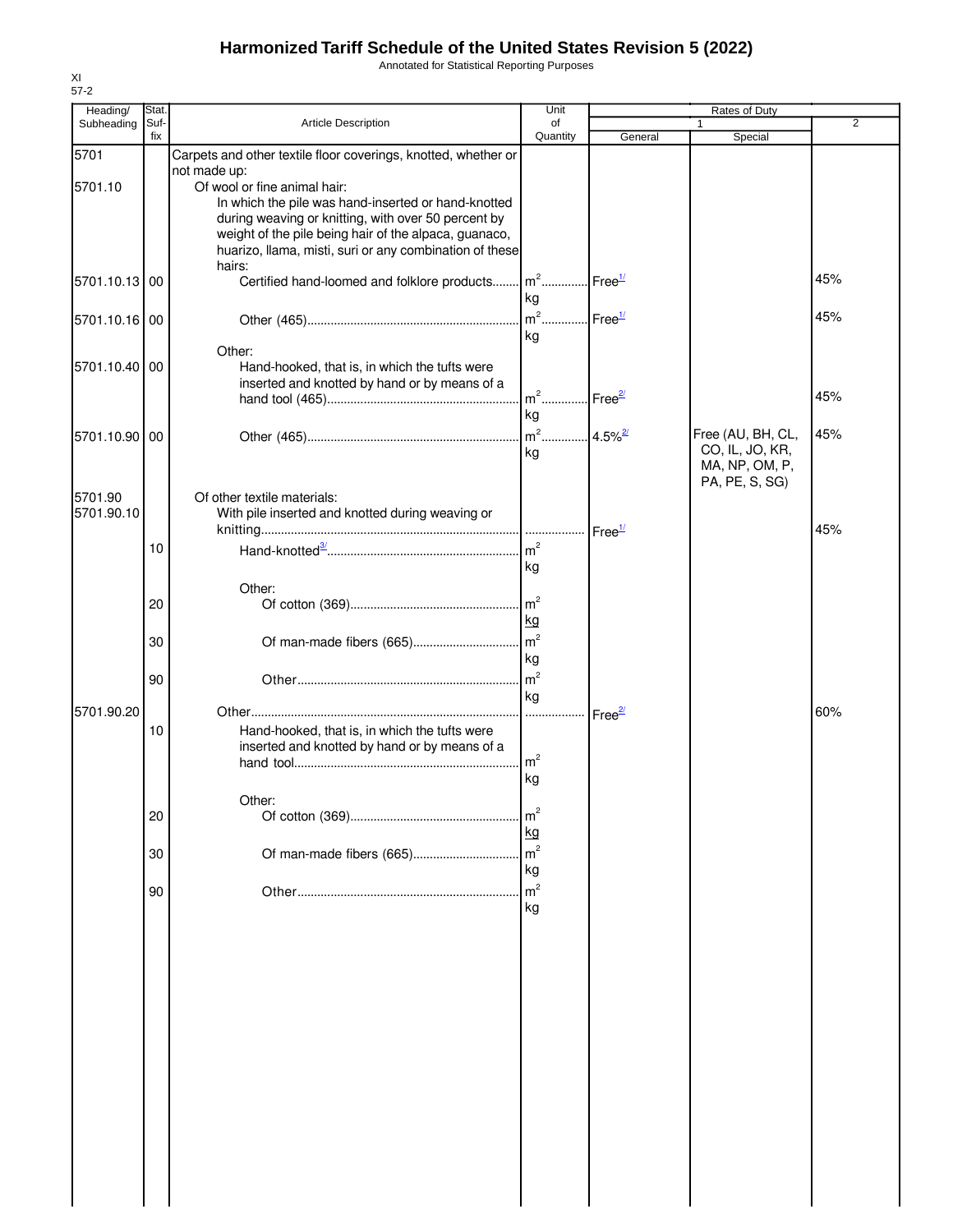Annotated for Statistical Reporting Purposes

| Heading/      | Stat.       |                                                                   | Unit                     |                                     | Rates of Duty                        |                |
|---------------|-------------|-------------------------------------------------------------------|--------------------------|-------------------------------------|--------------------------------------|----------------|
| Subheading    | Suf-<br>fix | <b>Article Description</b>                                        | of<br>Quantity           |                                     |                                      | $\overline{2}$ |
| 5701          |             | Carpets and other textile floor coverings, knotted, whether or    |                          | General                             | Special                              |                |
|               |             | not made up:                                                      |                          |                                     |                                      |                |
| 5701.10       |             | Of wool or fine animal hair:                                      |                          |                                     |                                      |                |
|               |             | In which the pile was hand-inserted or hand-knotted               |                          |                                     |                                      |                |
|               |             | during weaving or knitting, with over 50 percent by               |                          |                                     |                                      |                |
|               |             | weight of the pile being hair of the alpaca, guanaco,             |                          |                                     |                                      |                |
|               |             | huarizo, llama, misti, suri or any combination of these<br>hairs: |                          |                                     |                                      |                |
| 5701.10.13 00 |             | Certified hand-loomed and folklore products   m <sup>2</sup>      |                          | . Free $\frac{1}{2}$                |                                      | 45%            |
|               |             |                                                                   | kg                       |                                     |                                      |                |
| 5701.10.16 00 |             |                                                                   | $m^2$ Free <sup>1/</sup> |                                     |                                      | 45%            |
|               |             |                                                                   | kg                       |                                     |                                      |                |
|               |             | Other:                                                            |                          |                                     |                                      |                |
| 5701.10.40 00 |             | Hand-hooked, that is, in which the tufts were                     |                          |                                     |                                      |                |
|               |             | inserted and knotted by hand or by means of a                     | $m2$                     |                                     |                                      | 45%            |
|               |             |                                                                   |                          | $\mathsf{Free}^{\underline{2\ell}}$ |                                      |                |
|               |             |                                                                   | kg                       |                                     |                                      |                |
| 5701.10.90 00 |             |                                                                   |                          | $.4.5\%$ <sup>2/</sup>              | Free (AU, BH, CL,<br>CO, IL, JO, KR, | 45%            |
|               |             |                                                                   | kg                       |                                     | MA, NP, OM, P,                       |                |
|               |             |                                                                   |                          |                                     | PA, PE, S, SG)                       |                |
| 5701.90       |             | Of other textile materials:                                       |                          |                                     |                                      |                |
| 5701.90.10    |             | With pile inserted and knotted during weaving or                  |                          |                                     |                                      |                |
|               |             |                                                                   |                          |                                     |                                      | 45%            |
|               | 10          |                                                                   | m <sup>2</sup>           |                                     |                                      |                |
|               |             |                                                                   | kg                       |                                     |                                      |                |
|               |             | Other:                                                            |                          |                                     |                                      |                |
|               | 20          |                                                                   |                          |                                     |                                      |                |
|               |             |                                                                   | kg                       |                                     |                                      |                |
|               | 30          |                                                                   |                          |                                     |                                      |                |
|               |             |                                                                   | kg                       |                                     |                                      |                |
|               | 90          |                                                                   | $\mathsf{m}^2$           |                                     |                                      |                |
|               |             |                                                                   | kg                       |                                     |                                      |                |
| 5701.90.20    |             |                                                                   |                          | Free <sup>27</sup>                  |                                      | 60%            |
|               | 10          | Hand-hooked, that is, in which the tufts were                     |                          |                                     |                                      |                |
|               |             | inserted and knotted by hand or by means of a                     | $\mathsf{Im}^2$          |                                     |                                      |                |
|               |             |                                                                   | kg                       |                                     |                                      |                |
|               |             |                                                                   |                          |                                     |                                      |                |
|               | 20          | Other:                                                            | m <sup>2</sup>           |                                     |                                      |                |
|               |             |                                                                   | kg                       |                                     |                                      |                |
|               | 30          |                                                                   | m <sup>2</sup>           |                                     |                                      |                |
|               |             |                                                                   | kg                       |                                     |                                      |                |
|               | 90          |                                                                   | m <sup>2</sup>           |                                     |                                      |                |
|               |             |                                                                   | kg                       |                                     |                                      |                |
|               |             |                                                                   |                          |                                     |                                      |                |
|               |             |                                                                   |                          |                                     |                                      |                |
|               |             |                                                                   |                          |                                     |                                      |                |
|               |             |                                                                   |                          |                                     |                                      |                |
|               |             |                                                                   |                          |                                     |                                      |                |
|               |             |                                                                   |                          |                                     |                                      |                |
|               |             |                                                                   |                          |                                     |                                      |                |
|               |             |                                                                   |                          |                                     |                                      |                |
|               |             |                                                                   |                          |                                     |                                      |                |
|               |             |                                                                   |                          |                                     |                                      |                |
|               |             |                                                                   |                          |                                     |                                      |                |
|               |             |                                                                   |                          |                                     |                                      |                |
|               |             |                                                                   |                          |                                     |                                      |                |
|               |             |                                                                   |                          |                                     |                                      |                |
|               |             |                                                                   |                          |                                     |                                      |                |
|               |             |                                                                   |                          |                                     |                                      |                |
|               |             |                                                                   |                          |                                     |                                      |                |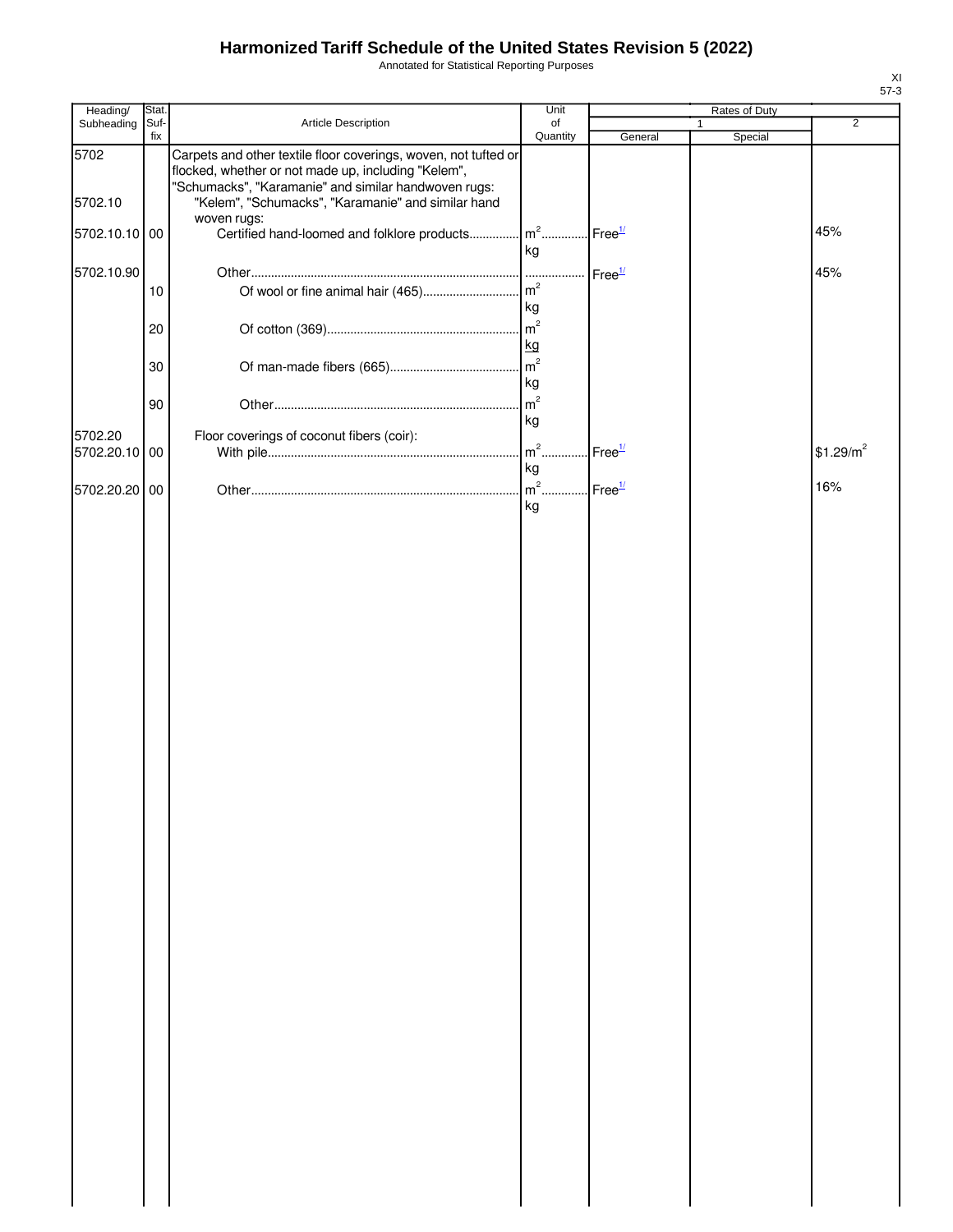Annotated for Statistical Reporting Purposes

| Heading/      | Stat.       |                                                                                                                                                                                | Unit                 |                    | Rates of Duty |                       |
|---------------|-------------|--------------------------------------------------------------------------------------------------------------------------------------------------------------------------------|----------------------|--------------------|---------------|-----------------------|
| Subheading    | Suf-<br>fix | Article Description                                                                                                                                                            | of<br>Quantity       | General            | Special       | $\overline{2}$        |
| 5702          |             | Carpets and other textile floor coverings, woven, not tufted or<br>flocked, whether or not made up, including "Kelem",<br>"Schumacks", "Karamanie" and similar handwoven rugs: |                      |                    |               |                       |
| 5702.10       |             | "Kelem", "Schumacks", "Karamanie" and similar hand<br>woven rugs:                                                                                                              |                      |                    |               |                       |
| 5702.10.10 00 |             | Certified hand-loomed and folklore products                                                                                                                                    | $m2$<br>kg           | Free <sup>1/</sup> |               | 45%                   |
| 5702.10.90    |             |                                                                                                                                                                                |                      | Free <sup>1/</sup> |               | 45%                   |
|               | 10          |                                                                                                                                                                                | kg                   |                    |               |                       |
|               | 20          |                                                                                                                                                                                | $\mathsf{m}^2$<br>kg |                    |               |                       |
|               | 30          |                                                                                                                                                                                | kg                   |                    |               |                       |
|               | 90          |                                                                                                                                                                                | m <sup>2</sup>       |                    |               |                       |
| 5702.20       |             | Floor coverings of coconut fibers (coir):                                                                                                                                      | kg<br>$m2$ .         | Free <sup>1/</sup> |               | \$1.29/m <sup>2</sup> |
| 5702.20.10 00 |             |                                                                                                                                                                                | kg                   |                    |               |                       |
| 5702.20.20 00 |             |                                                                                                                                                                                | $m2$ .<br>kg         | Free <sup>1/</sup> |               | 16%                   |
|               |             |                                                                                                                                                                                |                      |                    |               |                       |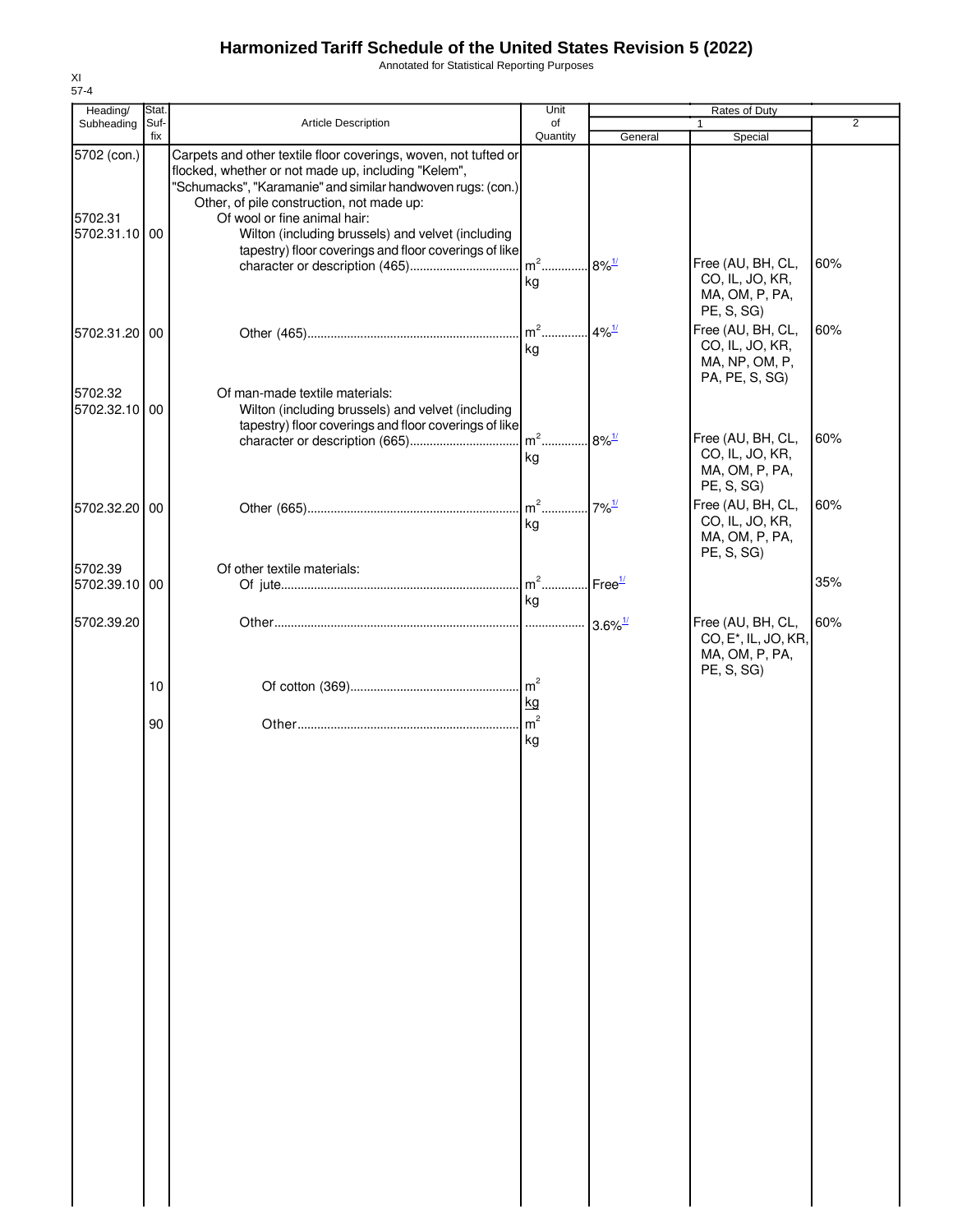Annotated for Statistical Reporting Purposes

| Heading/                                | Stat.       |                                                                                                                                                                                                                                                                                                                                                                                  | Unit                 |                             | Rates of Duty                                                            |                |
|-----------------------------------------|-------------|----------------------------------------------------------------------------------------------------------------------------------------------------------------------------------------------------------------------------------------------------------------------------------------------------------------------------------------------------------------------------------|----------------------|-----------------------------|--------------------------------------------------------------------------|----------------|
| Subheading                              | Suf-<br>fix | Article Description                                                                                                                                                                                                                                                                                                                                                              | of<br>Quantity       | General                     | Special                                                                  | $\overline{2}$ |
| 5702 (con.)<br>5702.31<br>5702.31.10 00 |             | Carpets and other textile floor coverings, woven, not tufted or<br>flocked, whether or not made up, including "Kelem",<br>"Schumacks", "Karamanie" and similar handwoven rugs: (con.)<br>Other, of pile construction, not made up:<br>Of wool or fine animal hair:<br>Wilton (including brussels) and velvet (including<br>tapestry) floor coverings and floor coverings of like |                      |                             |                                                                          |                |
|                                         |             |                                                                                                                                                                                                                                                                                                                                                                                  | kg                   |                             | Free (AU, BH, CL,<br>CO, IL, JO, KR,<br>MA, OM, P, PA,<br>PE, S, SG)     | 60%            |
| 5702.31.20 00                           |             |                                                                                                                                                                                                                                                                                                                                                                                  | $m2$ .<br>kg         | $4\%$ <sup>1/</sup>         | Free (AU, BH, CL,<br>CO, IL, JO, KR,<br>MA, NP, OM, P,<br>PA, PE, S, SG) | 60%            |
| 5702.32<br>5702.32.10 00                |             | Of man-made textile materials:<br>Wilton (including brussels) and velvet (including<br>tapestry) floor coverings and floor coverings of like                                                                                                                                                                                                                                     | $m2$<br>kg           | $8\%$ <sup>1/</sup>         | Free (AU, BH, CL,<br>CO, IL, JO, KR,                                     | 60%            |
| 5702.32.20 00                           |             |                                                                                                                                                                                                                                                                                                                                                                                  | $m2$<br>kg           | $7\%$ <sup>1/</sup>         | MA, OM, P, PA,<br>PE, S, SG)<br>Free (AU, BH, CL,<br>CO, IL, JO, KR,     | 60%            |
| 5702.39<br>5702.39.10 00                |             | Of other textile materials:                                                                                                                                                                                                                                                                                                                                                      | $m2$                 | $\Gamma$ Free $\frac{1}{2}$ | MA, OM, P, PA,<br>PE, S, SG)                                             | 35%            |
| 5702.39.20                              |             |                                                                                                                                                                                                                                                                                                                                                                                  | kg                   | $3.6\%$ <sup>1/</sup>       | Free (AU, BH, CL,<br>CO, E <sup>*</sup> , IL, JO, KR,<br>MA, OM, P, PA,  | 60%            |
|                                         | 10          |                                                                                                                                                                                                                                                                                                                                                                                  | $\mathsf{m}^2$<br>kg |                             | PE, S, SG)                                                               |                |
|                                         | 90          |                                                                                                                                                                                                                                                                                                                                                                                  | m <sup>2</sup><br>kg |                             |                                                                          |                |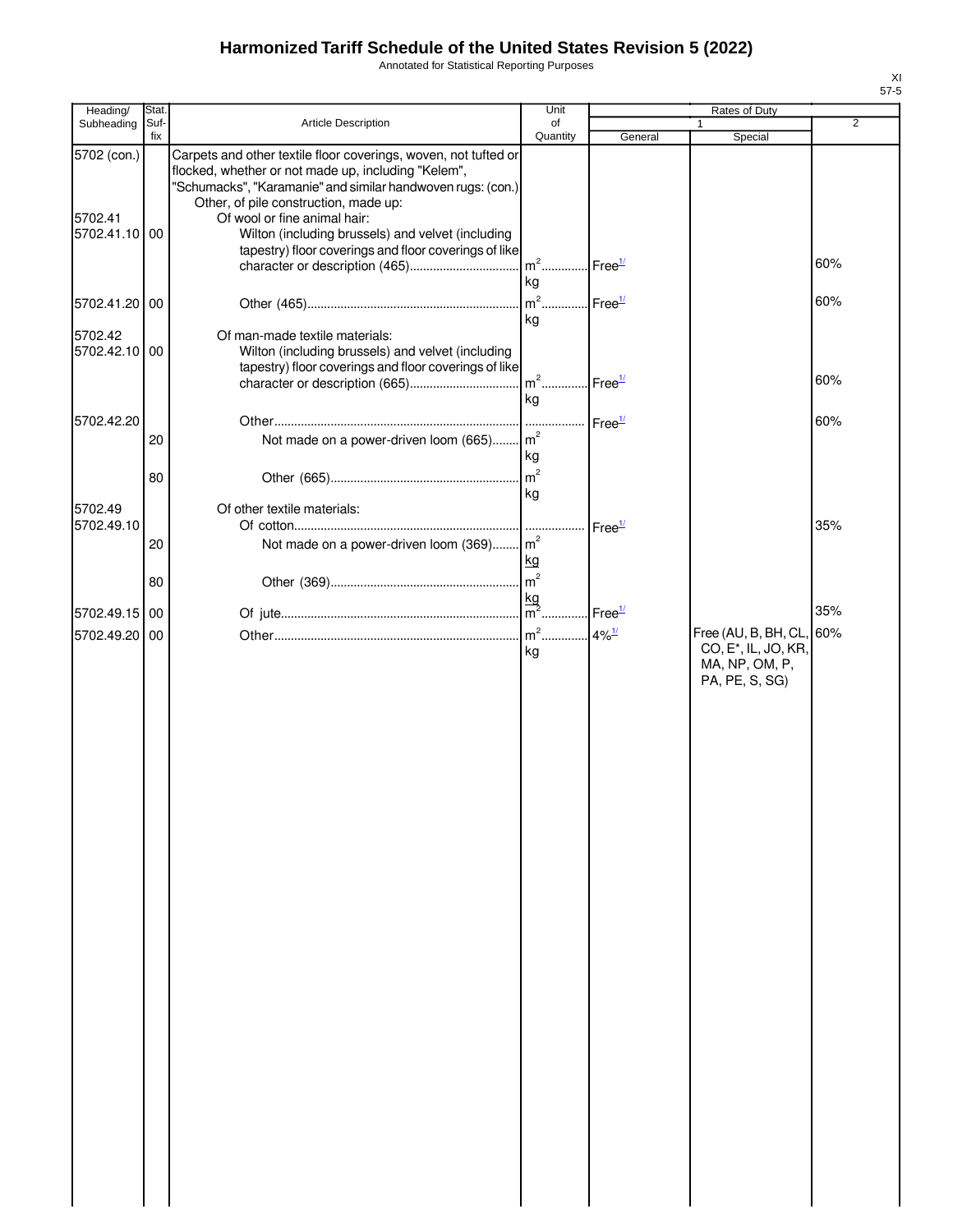Annotated for Statistical Reporting Purposes

| Heading/                             | Stat.       |                                                                                                                                                                                                                                                                                                                                                                              | Unit                   |                    | Rates of Duty                                                        |                |
|--------------------------------------|-------------|------------------------------------------------------------------------------------------------------------------------------------------------------------------------------------------------------------------------------------------------------------------------------------------------------------------------------------------------------------------------------|------------------------|--------------------|----------------------------------------------------------------------|----------------|
| Subheading                           | Suf-<br>fix | Article Description                                                                                                                                                                                                                                                                                                                                                          | of<br>Quantity         | General            | 1<br>Special                                                         | $\overline{2}$ |
| 5702 (con.)<br>5702.41<br>5702.41.10 | 00          | Carpets and other textile floor coverings, woven, not tufted or<br>flocked, whether or not made up, including "Kelem",<br>"Schumacks", "Karamanie" and similar handwoven rugs: (con.)<br>Other, of pile construction, made up:<br>Of wool or fine animal hair:<br>Wilton (including brussels) and velvet (including<br>tapestry) floor coverings and floor coverings of like | $m2$                   | Free <sup>1/</sup> |                                                                      | 60%            |
| 5702.41.20 00                        |             |                                                                                                                                                                                                                                                                                                                                                                              | kg<br>$m2$ .           | Free <sup>1/</sup> |                                                                      | 60%            |
| 5702.42<br>5702.42.10 00             |             | Of man-made textile materials:<br>Wilton (including brussels) and velvet (including<br>tapestry) floor coverings and floor coverings of like                                                                                                                                                                                                                                 | kg<br>$m2$             | Free <sup>1/</sup> |                                                                      | 60%            |
|                                      |             |                                                                                                                                                                                                                                                                                                                                                                              | kg                     |                    |                                                                      |                |
| 5702.42.20                           | 20          | Not made on a power-driven loom (665) m <sup>2</sup>                                                                                                                                                                                                                                                                                                                         | kg<br>m <sup>2</sup>   | Free <sup>1/</sup> |                                                                      | 60%            |
| 5702.49                              | 80          | Of other textile materials:                                                                                                                                                                                                                                                                                                                                                  | kg                     |                    |                                                                      |                |
| 5702.49.10                           | 20          | Not made on a power-driven loom (369) m <sup>2</sup>                                                                                                                                                                                                                                                                                                                         | kg                     | Free <sup>1/</sup> |                                                                      | 35%            |
|                                      | 80          |                                                                                                                                                                                                                                                                                                                                                                              | kg                     |                    |                                                                      |                |
| 5702.49.15 00                        |             |                                                                                                                                                                                                                                                                                                                                                                              | $m^2$ 4% <sup>1/</sup> | Free <sup>1/</sup> | Free (AU, B, BH, CL,                                                 | 35%<br>60%     |
| 5702.49.20                           | 00          |                                                                                                                                                                                                                                                                                                                                                                              | kg                     |                    | CO, E <sup>*</sup> , IL, JO, KR,<br>MA, NP, OM, P,<br>PA, PE, S, SG) |                |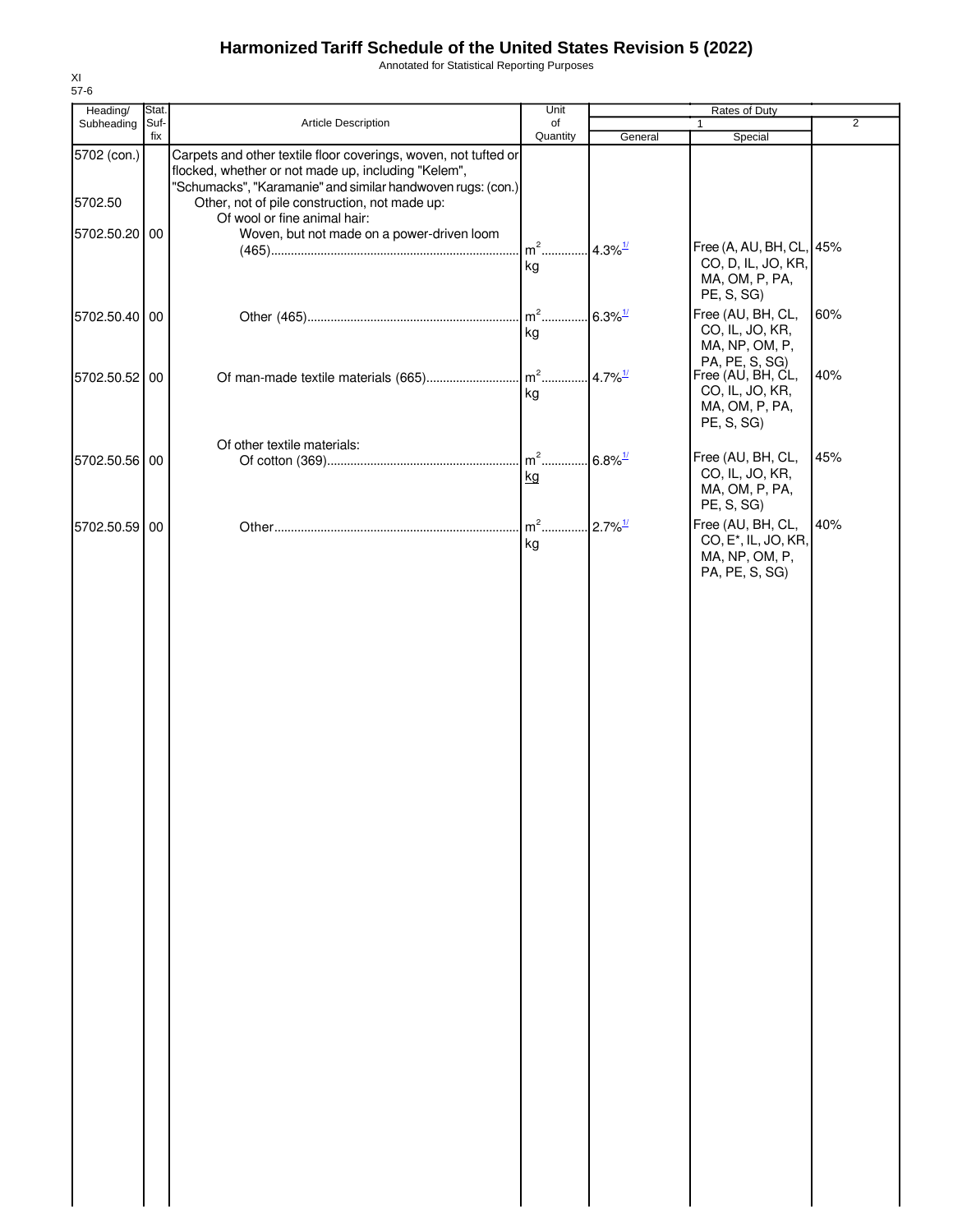Annotated for Statistical Reporting Purposes

| Heading/               | Stat. |                                                                                                                                                                                                                                        | Unit         |                       | Rates of Duty                                                           |                |
|------------------------|-------|----------------------------------------------------------------------------------------------------------------------------------------------------------------------------------------------------------------------------------------|--------------|-----------------------|-------------------------------------------------------------------------|----------------|
| Subheading             | Suf-  | Article Description                                                                                                                                                                                                                    | of           |                       | $\mathbf{1}$                                                            | $\overline{2}$ |
|                        | fix   |                                                                                                                                                                                                                                        | Quantity     | General               | Special                                                                 |                |
| 5702 (con.)<br>5702.50 |       | Carpets and other textile floor coverings, woven, not tufted or<br>flocked, whether or not made up, including "Kelem",<br>"Schumacks", "Karamanie" and similar handwoven rugs: (con.)<br>Other, not of pile construction, not made up: |              |                       |                                                                         |                |
|                        |       | Of wool or fine animal hair:                                                                                                                                                                                                           |              |                       |                                                                         |                |
| 5702.50.20 00          |       | Woven, but not made on a power-driven loom                                                                                                                                                                                             | $m2$ .       | $4.3\%$ <sup>1/</sup> | Free (A, AU, BH, CL, 45%                                                |                |
|                        |       |                                                                                                                                                                                                                                        | kg           |                       | CO, D, IL, JO, KR,<br>MA, OM, P, PA,<br>PE, S, SG)                      |                |
| 5702.50.40 00          |       |                                                                                                                                                                                                                                        | $m2$ .<br>kg | $6.3\%$ <sup>1/</sup> | Free (AU, BH, CL,<br>CO, IL, JO, KR,<br>MA, NP, OM, P,                  | 60%            |
| 5702.50.52 00          |       | Of man-made textile materials (665)                                                                                                                                                                                                    | $m^2$        | $4.7\%$ <sup>1/</sup> | PA, PE, S, SG)<br>Free (AU, BH, CL,                                     | 40%            |
|                        |       |                                                                                                                                                                                                                                        | kg           |                       | CO, IL, JO, KR,<br>MA, OM, P, PA,<br>PE, S, SG)                         |                |
|                        |       | Of other textile materials:                                                                                                                                                                                                            |              |                       |                                                                         |                |
| 5702.50.56 00          |       |                                                                                                                                                                                                                                        | $m2$ .<br>kg | $6.8\%$ <sup>1/</sup> | Free (AU, BH, CL,<br>CO, IL, JO, KR,<br>MA, OM, P, PA,<br>PE, S, SG)    | 45%            |
|                        |       |                                                                                                                                                                                                                                        |              |                       |                                                                         |                |
| 5702.50.59 00          |       |                                                                                                                                                                                                                                        | $m2$<br>kg   | $2.7\%$ <sup>1/</sup> | Free (AU, BH, CL,<br>CO, E <sup>*</sup> , IL, JO, KR,<br>MA, NP, OM, P, | 40%            |
|                        |       |                                                                                                                                                                                                                                        |              |                       | PA, PE, S, SG)                                                          |                |
|                        |       |                                                                                                                                                                                                                                        |              |                       |                                                                         |                |
|                        |       |                                                                                                                                                                                                                                        |              |                       |                                                                         |                |
|                        |       |                                                                                                                                                                                                                                        |              |                       |                                                                         |                |
|                        |       |                                                                                                                                                                                                                                        |              |                       |                                                                         |                |
|                        |       |                                                                                                                                                                                                                                        |              |                       |                                                                         |                |
|                        |       |                                                                                                                                                                                                                                        |              |                       |                                                                         |                |
|                        |       |                                                                                                                                                                                                                                        |              |                       |                                                                         |                |
|                        |       |                                                                                                                                                                                                                                        |              |                       |                                                                         |                |
|                        |       |                                                                                                                                                                                                                                        |              |                       |                                                                         |                |
|                        |       |                                                                                                                                                                                                                                        |              |                       |                                                                         |                |
|                        |       |                                                                                                                                                                                                                                        |              |                       |                                                                         |                |
|                        |       |                                                                                                                                                                                                                                        |              |                       |                                                                         |                |
|                        |       |                                                                                                                                                                                                                                        |              |                       |                                                                         |                |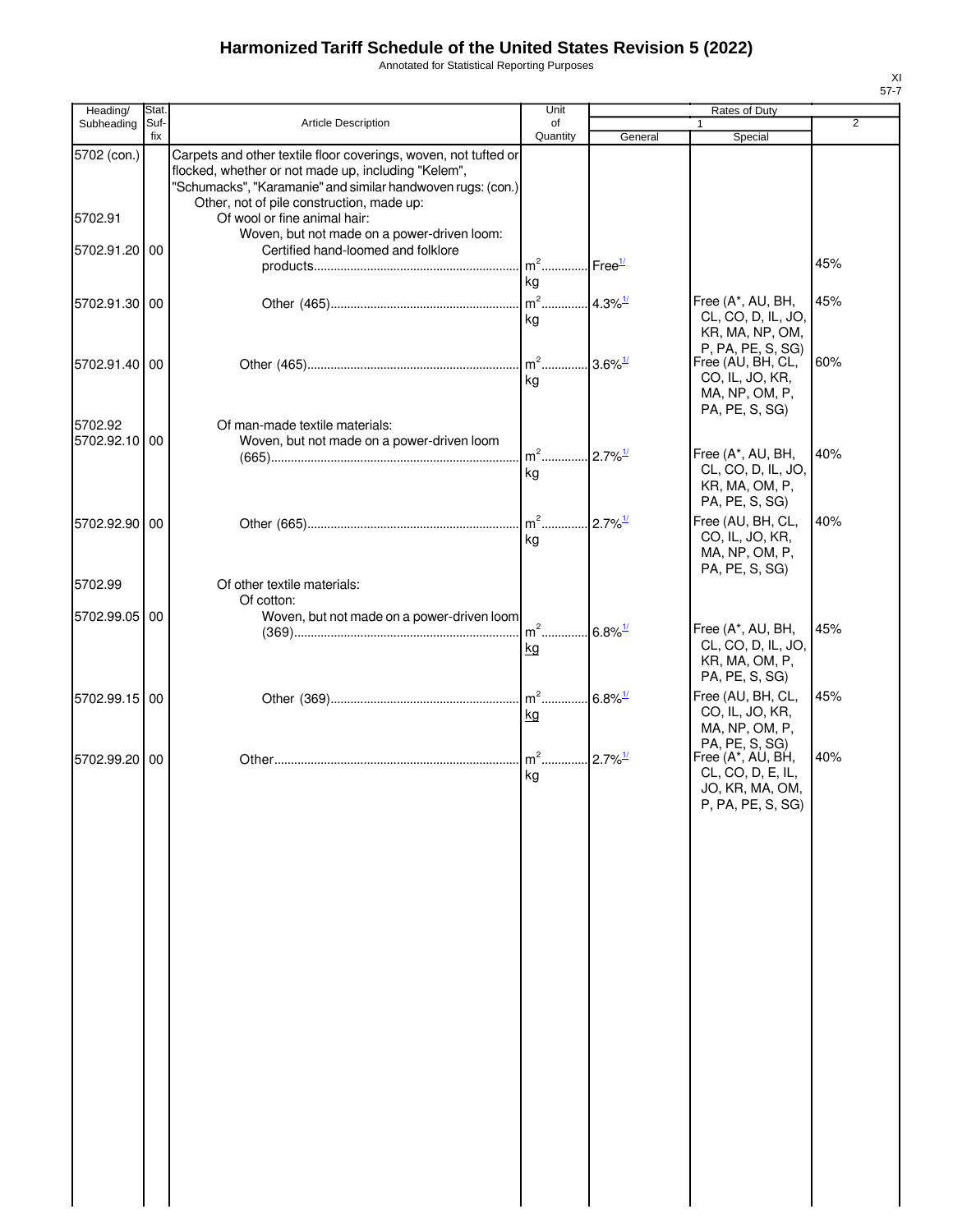Annotated for Statistical Reporting Purposes

| ۰, |  |
|----|--|

| Heading/                 | Stat.       |                                                                                                                                                                                                                                    | Unit                              |                       |                                                                                                  |                |
|--------------------------|-------------|------------------------------------------------------------------------------------------------------------------------------------------------------------------------------------------------------------------------------------|-----------------------------------|-----------------------|--------------------------------------------------------------------------------------------------|----------------|
| Subheading               | Suf-<br>fix | <b>Article Description</b>                                                                                                                                                                                                         | of<br>Quantity                    | General               | Special                                                                                          | $\overline{2}$ |
| 5702 (con.)              |             | Carpets and other textile floor coverings, woven, not tufted or<br>flocked, whether or not made up, including "Kelem",<br>"Schumacks", "Karamanie" and similar handwoven rugs: (con.)<br>Other, not of pile construction, made up: |                                   |                       |                                                                                                  |                |
| 5702.91                  |             | Of wool or fine animal hair:<br>Woven, but not made on a power-driven loom:                                                                                                                                                        |                                   |                       |                                                                                                  |                |
| 5702.91.20               | 00          | Certified hand-loomed and folklore                                                                                                                                                                                                 | $m^2$<br>kg                       | Free <sup>1/</sup>    |                                                                                                  | 45%            |
| 5702.91.30 00            |             |                                                                                                                                                                                                                                    | $m2$<br>kg                        | $4.3\%$ <sup>1/</sup> | Free (A*, AU, BH,<br>CL, CO, D, IL, JO,<br>KR, MA, NP, OM,<br>P, PA, PE, S, SG)                  | 45%            |
| 5702.91.40 00            |             |                                                                                                                                                                                                                                    | $m2$ .<br>kg                      | $3.6\%$ <sup>1/</sup> | Free (AU, BH, CL,<br>CO, IL, JO, KR,<br>MA, NP, OM, P,<br>PA, PE, S, SG)                         | 60%            |
| 5702.92<br>5702.92.10 00 |             | Of man-made textile materials:<br>Woven, but not made on a power-driven loom                                                                                                                                                       | $m2$                              | $2.7\%$ <sup>1/</sup> | Free (A*, AU, BH,                                                                                | 40%            |
|                          |             |                                                                                                                                                                                                                                    | kg                                |                       | CL, CO, D, IL, JO,<br>KR, MA, OM, P,<br>PA, PE, S, SG)                                           |                |
| 5702.92.90 00            |             |                                                                                                                                                                                                                                    | $m2$ .<br>kg                      | $2.7\%$ <sup>1/</sup> | Free (AU, BH, CL,<br>CO, IL, JO, KR,<br>MA, NP, OM, P,<br>PA, PE, S, SG)                         | 40%            |
| 5702.99                  |             | Of other textile materials:<br>Of cotton:                                                                                                                                                                                          |                                   |                       |                                                                                                  |                |
| 5702.99.05 00            |             | Woven, but not made on a power-driven loom                                                                                                                                                                                         | $m2$<br>kg                        | $6.8\%$ <sup>1/</sup> | Free (A*, AU, BH,<br>CL, CO, D, IL, JO,<br>KR, MA, OM, P,<br>PA, PE, S, SG)                      | 45%            |
| 5702.99.15 00            |             |                                                                                                                                                                                                                                    | kg                                | $6.8\%$ <sup>1/</sup> | Free (AU, BH, CL,<br>CO, IL, JO, KR,<br>MA, NP, OM, P,                                           | 45%            |
| 5702.99.20               | 00          |                                                                                                                                                                                                                                    | $\mathsf{I}$ m <sup>2</sup><br>kg | $2.7\%$ <sup>1/</sup> | PA, PE, S, SG)<br>Free (A*, AU, BH,<br>CL, CO, D, E, IL,<br>JO, KR, MA, OM,<br>P, PA, PE, S, SG) | 40%            |
|                          |             |                                                                                                                                                                                                                                    |                                   |                       |                                                                                                  |                |
|                          |             |                                                                                                                                                                                                                                    |                                   |                       |                                                                                                  |                |
|                          |             |                                                                                                                                                                                                                                    |                                   |                       |                                                                                                  |                |
|                          |             |                                                                                                                                                                                                                                    |                                   |                       |                                                                                                  |                |
|                          |             |                                                                                                                                                                                                                                    |                                   |                       |                                                                                                  |                |
|                          |             |                                                                                                                                                                                                                                    |                                   |                       |                                                                                                  |                |
|                          |             |                                                                                                                                                                                                                                    |                                   |                       |                                                                                                  |                |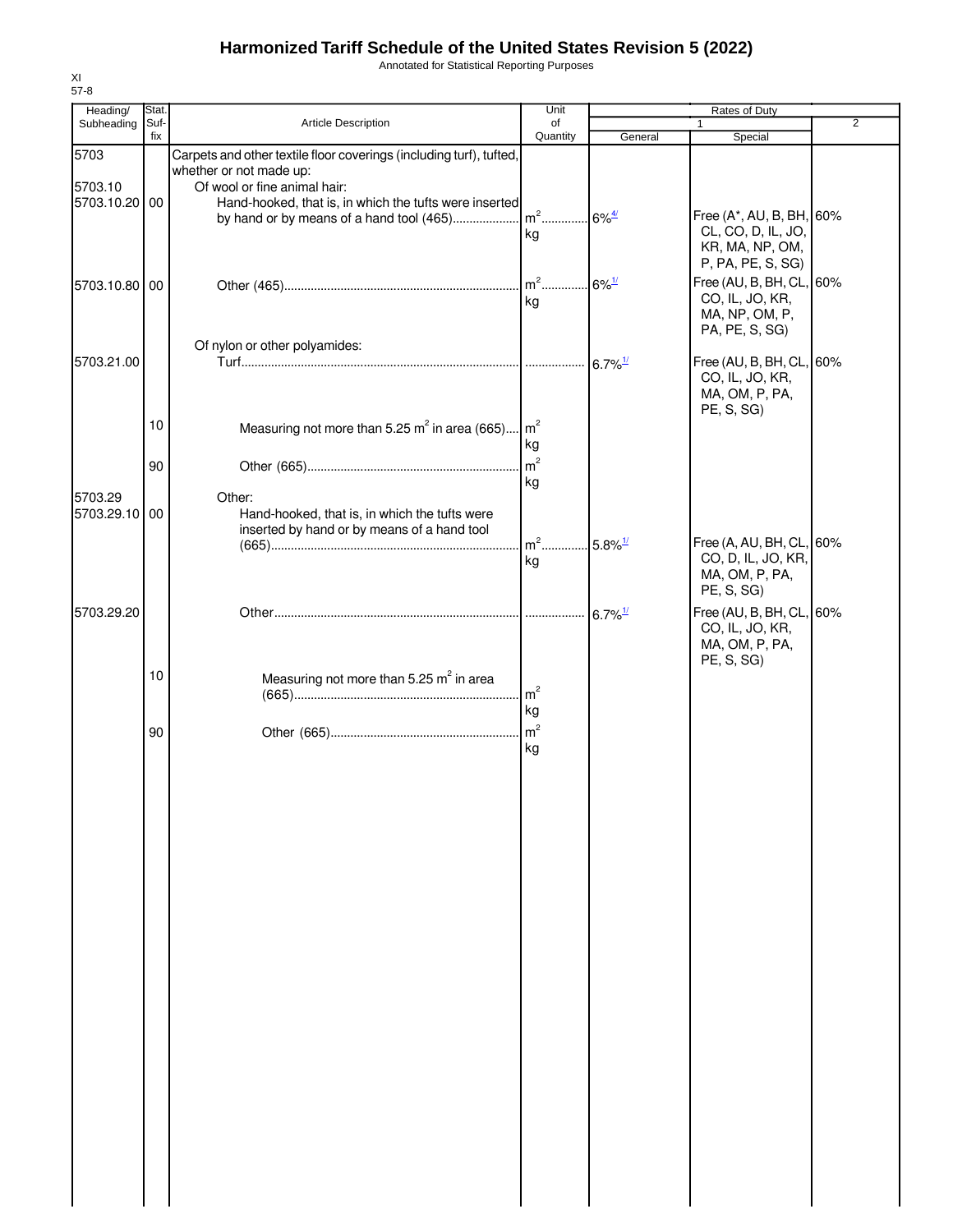Annotated for Statistical Reporting Purposes

| Heading/      | Stat.       |                                                                     | Unit            |                        | Rates of Duty                        |                |
|---------------|-------------|---------------------------------------------------------------------|-----------------|------------------------|--------------------------------------|----------------|
| Subheading    | Suf-<br>fix | Article Description                                                 | of<br>Quantity  | General                | 1<br>Special                         | $\overline{2}$ |
| 5703          |             | Carpets and other textile floor coverings (including turf), tufted, |                 |                        |                                      |                |
|               |             | whether or not made up:                                             |                 |                        |                                      |                |
| 5703.10       |             | Of wool or fine animal hair:                                        |                 |                        |                                      |                |
| 5703.10.20 00 |             | Hand-hooked, that is, in which the tufts were inserted              | $m2$            |                        | Free (A*, AU, B, BH, 60%             |                |
|               |             | by hand or by means of a hand tool (465)                            |                 | $.6\%$ <sup>4/</sup>   | CL, CO, D, IL, JO,                   |                |
|               |             |                                                                     | kg              |                        | KR, MA, NP, OM,                      |                |
|               |             |                                                                     |                 |                        | P, PA, PE, S, SG)                    |                |
| 5703.10.80 00 |             |                                                                     | $m2$            | $6\%$ <sup>1/</sup>    | Free (AU, B, BH, CL, 60%             |                |
|               |             |                                                                     | kg              |                        | CO, IL, JO, KR,                      |                |
|               |             |                                                                     |                 |                        | MA, NP, OM, P,                       |                |
|               |             | Of nylon or other polyamides:                                       |                 |                        | PA, PE, S, SG)                       |                |
| 5703.21.00    |             |                                                                     |                 | $6.7\%$ <sup>1/</sup>  | Free (AU, B, BH, CL, 60%             |                |
|               |             |                                                                     |                 |                        | CO, IL, JO, KR,                      |                |
|               |             |                                                                     |                 |                        | MA, OM, P, PA,                       |                |
|               |             |                                                                     |                 |                        | PE, S, SG)                           |                |
|               | 10          | Measuring not more than 5.25 $m^2$ in area (665)                    | $\mathsf{Im}^2$ |                        |                                      |                |
|               |             |                                                                     | kg              |                        |                                      |                |
|               | 90          |                                                                     | m <sup>2</sup>  |                        |                                      |                |
| 5703.29       |             | Other:                                                              | kg              |                        |                                      |                |
| 5703.29.10 00 |             | Hand-hooked, that is, in which the tufts were                       |                 |                        |                                      |                |
|               |             | inserted by hand or by means of a hand tool                         |                 |                        |                                      |                |
|               |             |                                                                     | $m2$            | $.5.8\%$ <sup>1/</sup> | Free (A, AU, BH, CL, 60%             |                |
|               |             |                                                                     | kg              |                        | CO, D, IL, JO, KR,<br>MA, OM, P, PA, |                |
|               |             |                                                                     |                 |                        | PE, S, SG)                           |                |
| 5703.29.20    |             |                                                                     |                 |                        | Free (AU, B, BH, CL, 60%             |                |
|               |             |                                                                     |                 | $6.7\%$ <sup>1/</sup>  | CO, IL, JO, KR,                      |                |
|               |             |                                                                     |                 |                        | MA, OM, P, PA,                       |                |
|               |             |                                                                     |                 |                        | PE, S, SG)                           |                |
|               | 10          | Measuring not more than 5.25 m <sup>2</sup> in area                 |                 |                        |                                      |                |
|               |             |                                                                     | m <sup>2</sup>  |                        |                                      |                |
|               |             |                                                                     | kg              |                        |                                      |                |
|               | 90          |                                                                     |                 |                        |                                      |                |
|               |             |                                                                     | kg              |                        |                                      |                |
|               |             |                                                                     |                 |                        |                                      |                |
|               |             |                                                                     |                 |                        |                                      |                |
|               |             |                                                                     |                 |                        |                                      |                |
|               |             |                                                                     |                 |                        |                                      |                |
|               |             |                                                                     |                 |                        |                                      |                |
|               |             |                                                                     |                 |                        |                                      |                |
|               |             |                                                                     |                 |                        |                                      |                |
|               |             |                                                                     |                 |                        |                                      |                |
|               |             |                                                                     |                 |                        |                                      |                |
|               |             |                                                                     |                 |                        |                                      |                |
|               |             |                                                                     |                 |                        |                                      |                |
|               |             |                                                                     |                 |                        |                                      |                |
|               |             |                                                                     |                 |                        |                                      |                |
|               |             |                                                                     |                 |                        |                                      |                |
|               |             |                                                                     |                 |                        |                                      |                |
|               |             |                                                                     |                 |                        |                                      |                |
|               |             |                                                                     |                 |                        |                                      |                |
|               |             |                                                                     |                 |                        |                                      |                |
|               |             |                                                                     |                 |                        |                                      |                |
|               |             |                                                                     |                 |                        |                                      |                |
|               |             |                                                                     |                 |                        |                                      |                |
|               |             |                                                                     |                 |                        |                                      |                |
|               |             |                                                                     |                 |                        |                                      |                |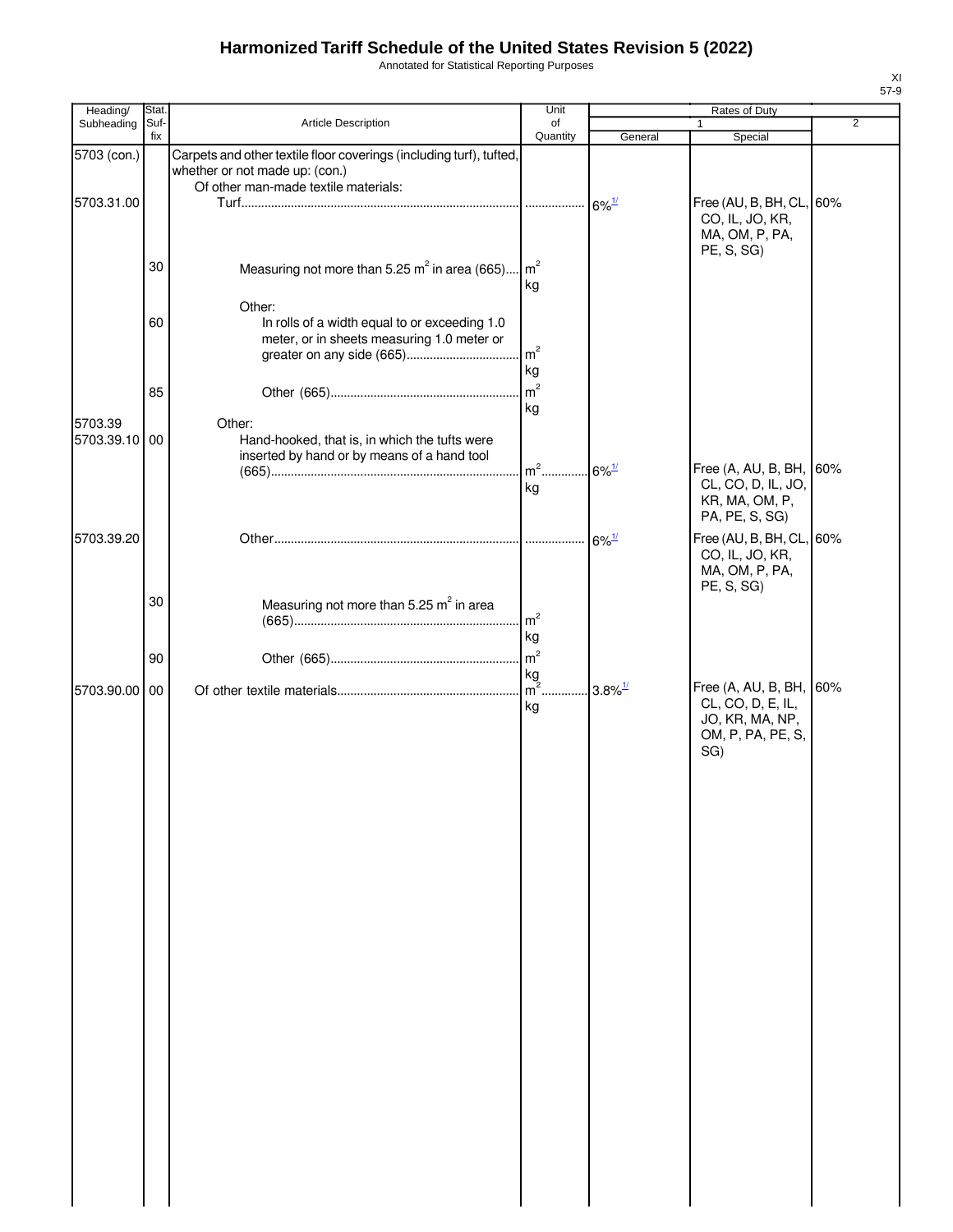Annotated for Statistical Reporting Purposes

| Heading/      | Stat. |                                                                                                       | Unit                 |                                           | Rates of Duty                                                                               |                |
|---------------|-------|-------------------------------------------------------------------------------------------------------|----------------------|-------------------------------------------|---------------------------------------------------------------------------------------------|----------------|
| Subheading    | Suf-  | Article Description                                                                                   | of                   |                                           |                                                                                             | $\overline{2}$ |
| 5703 (con.)   | fix   | Carpets and other textile floor coverings (including turf), tufted,<br>whether or not made up: (con.) | Quantity             | General                                   | Special                                                                                     |                |
| 5703.31.00    |       | Of other man-made textile materials:                                                                  |                      | $6\%$ <sup>1/</sup>                       | Free (AU, B, BH, CL, 60%<br>CO, IL, JO, KR,<br>MA, OM, P, PA,<br>PE, S, SG)                 |                |
|               | 30    | Measuring not more than 5.25 $m^2$ in area (665)                                                      | m <sup>2</sup><br>kg |                                           |                                                                                             |                |
|               | 60    | Other:<br>In rolls of a width equal to or exceeding 1.0<br>meter, or in sheets measuring 1.0 meter or | m <sup>2</sup><br>kg |                                           |                                                                                             |                |
| 5703.39       | 85    | Other:                                                                                                | m <sup>2</sup><br>kg |                                           |                                                                                             |                |
| 5703.39.10 00 |       | Hand-hooked, that is, in which the tufts were<br>inserted by hand or by means of a hand tool          | $m2$ .               | $6\%$ <sup><math>\frac{1}{2}</math></sup> | Free (A, AU, B, BH, 60%                                                                     |                |
|               |       |                                                                                                       | kg                   |                                           | CL, CO, D, IL, JO,<br>KR, MA, OM, P,<br>PA, PE, S, SG)                                      |                |
| 5703.39.20    |       |                                                                                                       |                      | $6\%$ <sup>1/</sup>                       | Free (AU, B, BH, CL, 60%<br>CO, IL, JO, KR,<br>MA, OM, P, PA,<br>PE, S, SG)                 |                |
|               | 30    | Measuring not more than 5.25 m <sup>2</sup> in area                                                   | m <sup>2</sup><br>kg |                                           |                                                                                             |                |
|               | 90    |                                                                                                       | m <sup>2</sup>       |                                           |                                                                                             |                |
| 5703.90.00 00 |       |                                                                                                       | kg<br>$m2$<br>kg     | $3.8\%$ <sup>1/</sup>                     | Free (A, AU, B, BH, 60%<br>CL, CO, D, E, IL,<br>JO, KR, MA, NP,<br>OM, P, PA, PE, S,<br>SG) |                |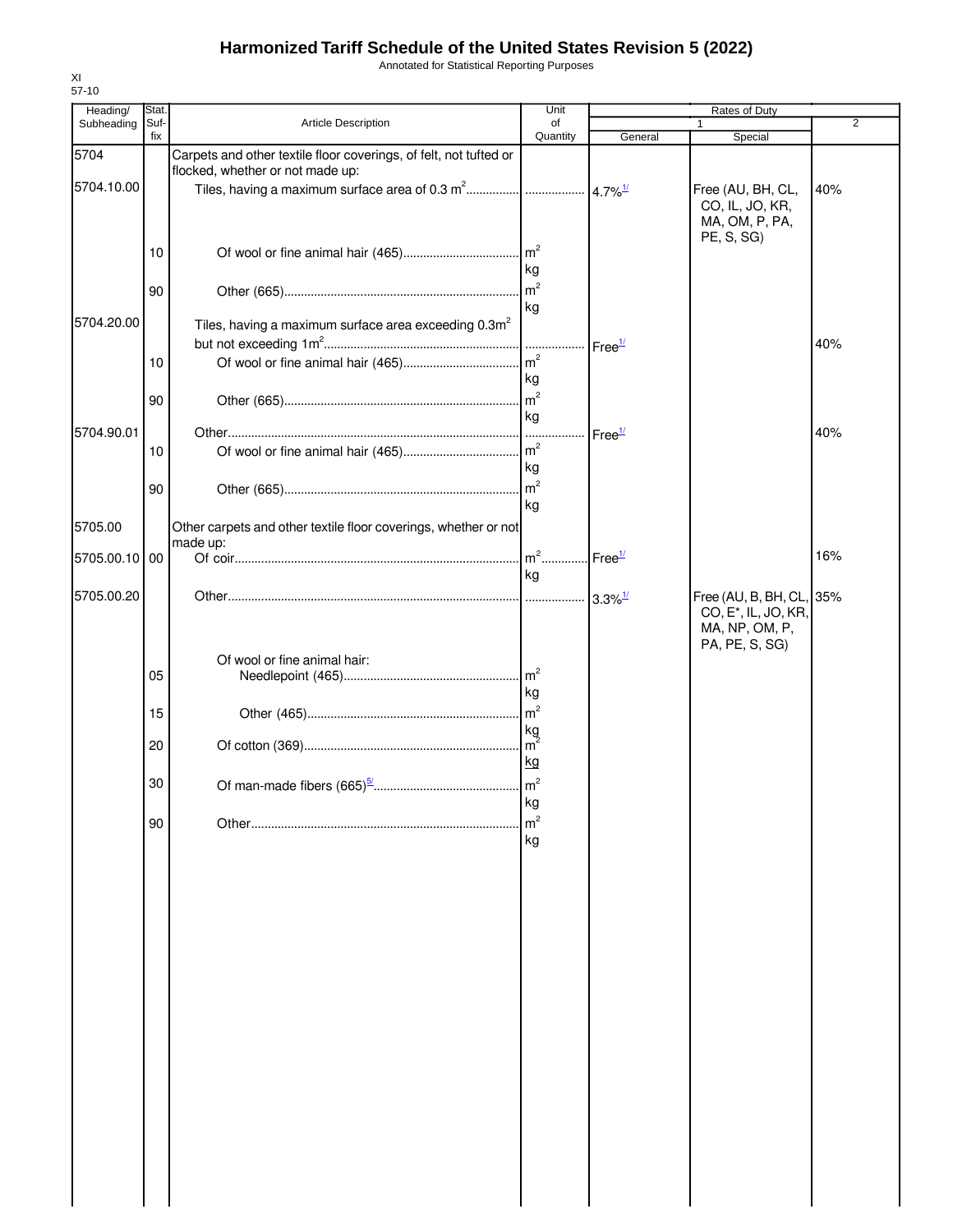Annotated for Statistical Reporting Purposes

| Heading/      | Stat. |                                                                   | Unit             | Rates of Duty         |                                                    |     |
|---------------|-------|-------------------------------------------------------------------|------------------|-----------------------|----------------------------------------------------|-----|
| Subheading    | Suf-  | Article Description                                               | of               |                       |                                                    | 2   |
|               | fix   |                                                                   | Quantity         | General               | Special                                            |     |
| 5704          |       | Carpets and other textile floor coverings, of felt, not tufted or |                  |                       |                                                    |     |
| 5704.10.00    |       | flocked, whether or not made up:                                  |                  |                       |                                                    |     |
|               |       |                                                                   |                  |                       | Free (AU, BH, CL,                                  | 40% |
|               |       |                                                                   |                  |                       | CO, IL, JO, KR,<br>MA, OM, P, PA,                  |     |
|               |       |                                                                   |                  |                       | PE, S, SG)                                         |     |
|               | 10    |                                                                   |                  |                       |                                                    |     |
|               |       |                                                                   | kg               |                       |                                                    |     |
|               | 90    |                                                                   | $\mathsf{Im}^2$  |                       |                                                    |     |
|               |       |                                                                   | kg               |                       |                                                    |     |
| 5704.20.00    |       |                                                                   |                  |                       |                                                    |     |
|               |       | Tiles, having a maximum surface area exceeding 0.3m <sup>2</sup>  |                  |                       |                                                    |     |
|               |       |                                                                   |                  | Free <sup>1/</sup>    |                                                    | 40% |
|               | 10    |                                                                   | m <sup>2</sup>   |                       |                                                    |     |
|               |       |                                                                   | kg               |                       |                                                    |     |
|               | 90    |                                                                   | m <sup>2</sup>   |                       |                                                    |     |
|               |       |                                                                   | kg               |                       |                                                    |     |
| 5704.90.01    |       |                                                                   |                  | Free <sup>1/</sup>    |                                                    | 40% |
|               | 10    |                                                                   | $\mathsf{Im}^2$  |                       |                                                    |     |
|               |       |                                                                   | kg               |                       |                                                    |     |
|               | 90    |                                                                   | $\rm{m}^2$       |                       |                                                    |     |
|               |       |                                                                   | kg               |                       |                                                    |     |
| 5705.00       |       | Other carpets and other textile floor coverings, whether or not   |                  |                       |                                                    |     |
|               |       | made up:                                                          |                  |                       |                                                    |     |
| 5705.00.10 00 |       |                                                                   | $m2$ .           | Free <sup>1/</sup>    |                                                    | 16% |
|               |       |                                                                   | kg               |                       |                                                    |     |
|               |       |                                                                   |                  |                       |                                                    |     |
| 5705.00.20    |       |                                                                   |                  | $3.3\%$ <sup>1/</sup> | Free (AU, B, BH, CL, 35%                           |     |
|               |       |                                                                   |                  |                       | CO, E <sup>*</sup> , IL, JO, KR,<br>MA, NP, OM, P, |     |
|               |       |                                                                   |                  |                       | PA, PE, S, SG)                                     |     |
|               |       | Of wool or fine animal hair:                                      |                  |                       |                                                    |     |
|               | 05    |                                                                   | $\mathsf{m}^2$   |                       |                                                    |     |
|               |       |                                                                   | kg               |                       |                                                    |     |
|               | 15    |                                                                   | $\mathsf{Im}^2$  |                       |                                                    |     |
|               |       |                                                                   |                  |                       |                                                    |     |
|               | 20    |                                                                   | $\frac{kg}{m^2}$ |                       |                                                    |     |
|               |       |                                                                   | kg               |                       |                                                    |     |
|               |       |                                                                   |                  |                       |                                                    |     |
|               | 30    |                                                                   |                  |                       |                                                    |     |
|               |       |                                                                   | kg               |                       |                                                    |     |
|               | 90    |                                                                   | m <sup>2</sup>   |                       |                                                    |     |
|               |       |                                                                   | kg               |                       |                                                    |     |
|               |       |                                                                   |                  |                       |                                                    |     |
|               |       |                                                                   |                  |                       |                                                    |     |
|               |       |                                                                   |                  |                       |                                                    |     |
|               |       |                                                                   |                  |                       |                                                    |     |
|               |       |                                                                   |                  |                       |                                                    |     |
|               |       |                                                                   |                  |                       |                                                    |     |
|               |       |                                                                   |                  |                       |                                                    |     |
|               |       |                                                                   |                  |                       |                                                    |     |
|               |       |                                                                   |                  |                       |                                                    |     |
|               |       |                                                                   |                  |                       |                                                    |     |
|               |       |                                                                   |                  |                       |                                                    |     |
|               |       |                                                                   |                  |                       |                                                    |     |
|               |       |                                                                   |                  |                       |                                                    |     |
|               |       |                                                                   |                  |                       |                                                    |     |
|               |       |                                                                   |                  |                       |                                                    |     |
|               |       |                                                                   |                  |                       |                                                    |     |
|               |       |                                                                   |                  |                       |                                                    |     |
|               |       |                                                                   |                  |                       |                                                    |     |
|               |       |                                                                   |                  |                       |                                                    |     |
|               |       |                                                                   |                  |                       |                                                    |     |
|               |       |                                                                   |                  |                       |                                                    |     |